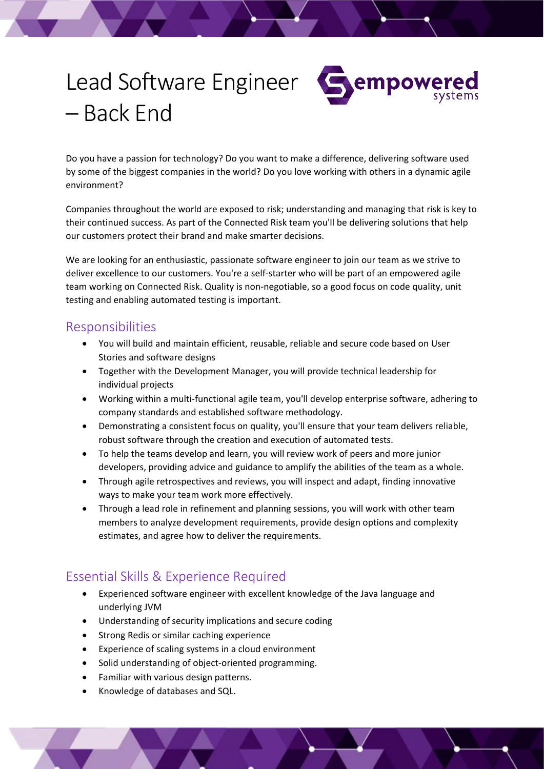# Lead Software Engineer – Back End



Do you have a passion for technology? Do you want to make a difference, delivering software used by some of the biggest companies in the world? Do you love working with others in a dynamic agile environment?

Companies throughout the world are exposed to risk; understanding and managing that risk is key to their continued success. As part of the Connected Risk team you'll be delivering solutions that help our customers protect their brand and make smarter decisions.

We are looking for an enthusiastic, passionate software engineer to join our team as we strive to deliver excellence to our customers. You're a self-starter who will be part of an empowered agile team working on Connected Risk. Quality is non-negotiable, so a good focus on code quality, unit testing and enabling automated testing is important.

### Responsibilities

- You will build and maintain efficient, reusable, reliable and secure code based on User Stories and software designs
- Together with the Development Manager, you will provide technical leadership for individual projects
- Working within a multi-functional agile team, you'll develop enterprise software, adhering to company standards and established software methodology.
- Demonstrating a consistent focus on quality, you'll ensure that your team delivers reliable, robust software through the creation and execution of automated tests.
- To help the teams develop and learn, you will review work of peers and more junior developers, providing advice and guidance to amplify the abilities of the team as a whole.
- Through agile retrospectives and reviews, you will inspect and adapt, finding innovative ways to make your team work more effectively.
- Through a lead role in refinement and planning sessions, you will work with other team members to analyze development requirements, provide design options and complexity estimates, and agree how to deliver the requirements.

## Essential Skills & Experience Required

- Experienced software engineer with excellent knowledge of the Java language and underlying JVM
- Understanding of security implications and secure coding
- Strong Redis or similar caching experience
- Experience of scaling systems in a cloud environment
- Solid understanding of object-oriented programming.
- Familiar with various design patterns.
- Knowledge of databases and SQL.